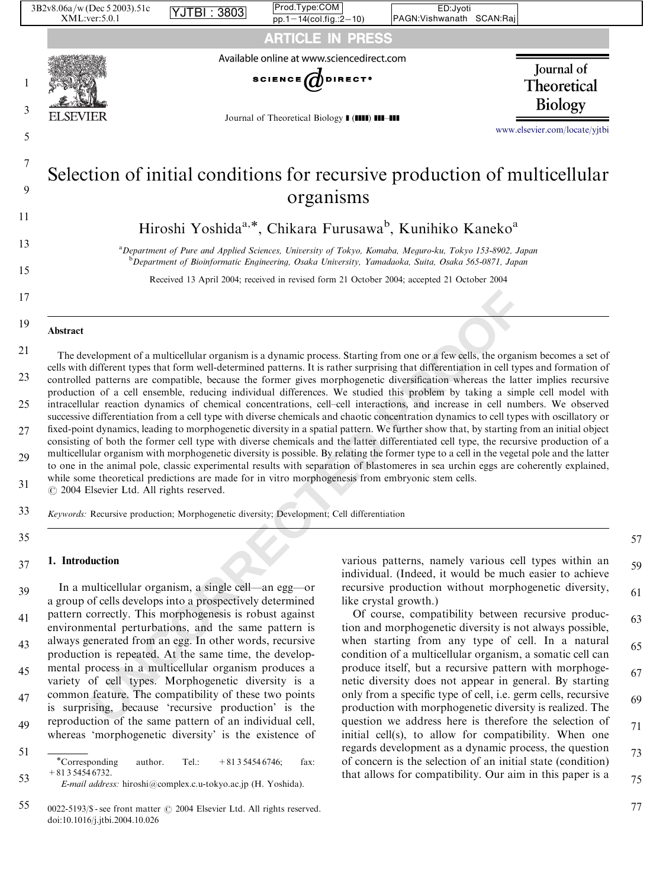

### Abstract

**UNCORRECTED PROOF** The development of a multicellular organism is a dynamic process. Starting from one or a few cells, the organism becomes a set of cells with different types that form well-determined patterns. It is rather surprising that differentiation in cell types and formation of controlled patterns are compatible, because the former gives morphogenetic diversification whereas the latter implies recursive production of a cell ensemble, reducing individual differences. We studied this problem by taking a simple cell model with intracellular reaction dynamics of chemical concentrations, cell–cell interactions, and increase in cell numbers. We observed successive differentiation from a cell type with diverse chemicals and chaotic concentration dynamics to cell types with oscillatory or fixed-point dynamics, leading to morphogenetic diversity in a spatial pattern. We further show that, by starting from an initial object consisting of both the former cell type with diverse chemicals and the latter differentiated cell type, the recursive production of a multicellular organism with morphogenetic diversity is possible. By relating the former type to a cell in the vegetal pole and the latter to one in the animal pole, classic experimental results with separation of blastomeres in sea urchin eggs are coherently explained, while some theoretical predictions are made for in vitro morphogenesis from embryonic stem cells. 21 23 25 27 29 31

 $\odot$  2004 Elsevier Ltd. All rights reserved.

Keywords: Recursive production; Morphogenetic diversity; Development; Cell differentiation 33

35

### 1. Introduction 37

In a multicellular organism, a single cell—an egg—or a group of cells develops into a prospectively determined pattern correctly. This morphogenesis is robust against environmental perturbations, and the same pattern is always generated from an egg. In other words, recursive production is repeated. At the same time, the developmental process in a multicellular organism produces a 39 41 43 45

variety of cell types. Morphogenetic diversity is a common feature. The compatibility of these two points is surprising, because 'recursive production' is the reproduction of the same pattern of an individual cell, whereas 'morphogenetic diversity' is the existence of 47 49

51 53 \*Corresponding author. Tel.:  $+81354546746$ ; fax: +81 3 5454 6732.

E-mail address: hiroshi@complex.c.u-tokyo.ac.jp (H. Yoshida).

various patterns, namely various cell types within an individual. (Indeed, it would be much easier to achieve recursive production without morphogenetic diversity, like crystal growth.)

Of course, compatibility between recursive production and morphogenetic diversity is not always possible, when starting from any type of cell. In a natural condition of a multicellular organism, a somatic cell can produce itself, but a recursive pattern with morphogenetic diversity does not appear in general. By starting only from a specific type of cell, i.e. germ cells, recursive production with morphogenetic diversity is realized. The question we address here is therefore the selection of initial cell(s), to allow for compatibility. When one regards development as a dynamic process, the question of concern is the selection of an initial state (condition) that allows for compatibility. Our aim in this paper is a 63 65 67 69 71 73 75

77

57

59

<sup>55</sup>  $0022-5193/S$  - see front matter  $\odot$  2004 Elsevier Ltd. All rights reserved. doi:10.1016/j.jtbi.2004.10.026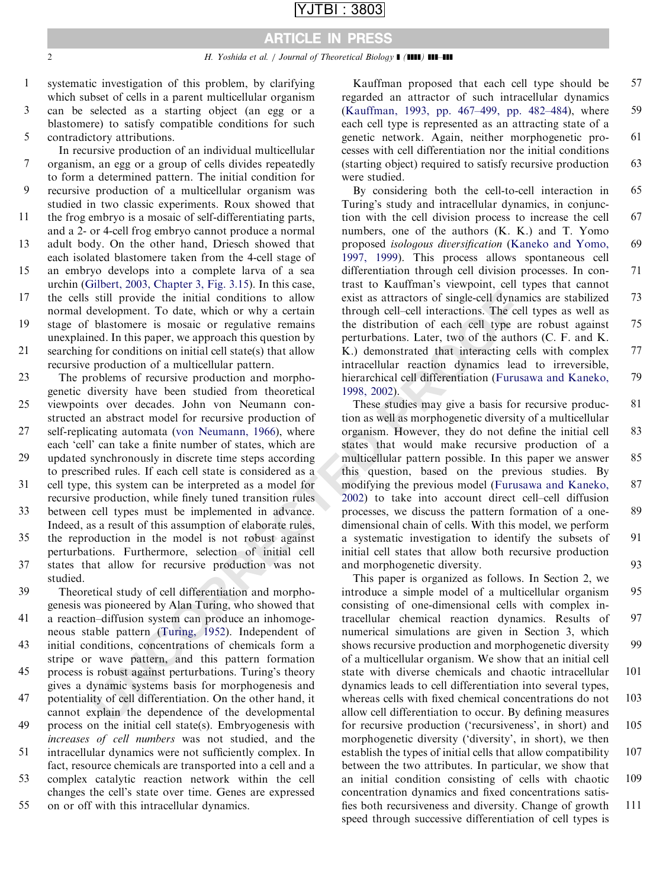# ARTICLE IN PRESS

- systematic investigation of this problem, by clarifying which subset of cells in a parent multicellular organism 1
- can be selected as a starting object (an egg or a blastomere) to satisfy compatible conditions for such contradictory attributions. 3 5

In recursive production of an individual multicellular organism, an egg or a group of cells divides repeatedly to form a determined pattern. The initial condition for 7

- recursive production of a multicellular organism was studied in two classic experiments. Roux showed that 9
- the frog embryo is a mosaic of self-differentiating parts, and a 2- or 4-cell frog embryo cannot produce a normal 11
- adult body. On the other hand, Driesch showed that each isolated blastomere taken from the 4-cell stage of 13
- an embryo develops into a complete larva of a sea urchin ([Gilbert, 2003, Chapter 3, Fig. 3.15\)](#page-12-0). In this case, 15
- the cells still provide the initial conditions to allow normal development. To date, which or why a certain 17

stage of blastomere is mosaic or regulative remains unexplained. In this paper, we approach this question by 19 21

searching for conditions on initial cell state(s) that allow recursive production of a multicellular pattern.

The problems of recursive production and morphogenetic diversity have been studied from theoretical viewpoints over decades. John von Neumann constructed an abstract model for recursive production of 23 25 27

self-replicating automata (von Neumann, 1966), where each 'cell' can take a finite number of states, which are updated synchronously in discrete time steps according 29

to prescribed rules. If each cell state is considered as a cell type, this system can be interpreted as a model for recursive production, while finely tuned transition rules 31

between cell types must be implemented in advance. Indeed, as a result of this assumption of elaborate rules, 33

the reproduction in the model is not robust against perturbations. Furthermore, selection of initial cell states that allow for recursive production was not studied. 35 37

Theoretical study of cell differentiation and morphogenesis was pioneered by Alan Turing, who showed that 39

a reaction–diffusion system can produce an inhomogeneous stable pattern (Turing, 1952). Independent of initial conditions, concentrations of chemicals form a 41 43

stripe or wave pattern, and this pattern formation process is robust against perturbations. Turing's theory gives a dynamic systems basis for morphogenesis and 45

- potentiality of cell differentiation. On the other hand, it cannot explain the dependence of the developmental 47
- process on the initial cell state(s). Embryogenesis with increases of cell numbers was not studied, and the 49
- intracellular dynamics were not sufficiently complex. In fact, resource chemicals are transported into a cell and a 51
- complex catalytic reaction network within the cell changes the cell's state over time. Genes are expressed 53
- on or off with this intracellular dynamics. 55

Kauffman proposed that each cell type should be regarded an attractor of such intracellular dynamics ([Kauffman, 1993, pp. 467–499, pp. 482–484\)](#page-13-0), where each cell type is represented as an attracting state of a genetic network. Again, neither morphogenetic processes with cell differentiation nor the initial conditions (starting object) required to satisfy recursive production were studied. 57 59 61 63

By considering both the cell-to-cell interaction in Turing's study and intracellular dynamics, in conjunction with the cell division process to increase the cell numbers, one of the authors (K. K.) and T. Yomo proposed isologous diversification ([Kaneko and Yomo,](#page-13-0) [1997, 1999\)](#page-13-0). This process allows spontaneous cell differentiation through cell division processes. In contrast to Kauffman's viewpoint, cell types that cannot exist as attractors of single-cell dynamics are stabilized through cell–cell interactions. The cell types as well as the distribution of each cell type are robust against perturbations. Later, two of the authors (C. F. and K. K.) demonstrated that interacting cells with complex intracellular reaction dynamics lead to irreversible, hierarchical cell differentiation [\(Furusawa and Kaneko,](#page-12-0) 1998, 2002). 65 67 69 71 73 75 77 79

still provide the initial conditions to allow exist as attractors of single-cell dynamic bubble perturbations. The date, which or why a certain through cell interactions. The celebration of each or the substance is mosaic These studies may give a basis for recursive production as well as morphogenetic diversity of a multicellular organism. However, they do not define the initial cell states that would make recursive production of a multicellular pattern possible. In this paper we answer this question, based on the previous studies. By modifying the previous model [\(Furusawa and Kaneko,](#page-12-0) 2002) to take into account direct cell–cell diffusion processes, we discuss the pattern formation of a onedimensional chain of cells. With this model, we perform a systematic investigation to identify the subsets of initial cell states that allow both recursive production and morphogenetic diversity. 81 83 85 87 89 91 93

This paper is organized as follows. In Section 2, we introduce a simple model of a multicellular organism consisting of one-dimensional cells with complex intracellular chemical reaction dynamics. Results of numerical simulations are given in Section 3, which shows recursive production and morphogenetic diversity of a multicellular organism. We show that an initial cell state with diverse chemicals and chaotic intracellular dynamics leads to cell differentiation into several types, whereas cells with fixed chemical concentrations do not allow cell differentiation to occur. By defining measures for recursive production ('recursiveness', in short) and morphogenetic diversity ('diversity', in short), we then establish the types of initial cells that allow compatibility between the two attributes. In particular, we show that an initial condition consisting of cells with chaotic concentration dynamics and fixed concentrations satisfies both recursiveness and diversity. Change of growth speed through successive differentiation of cell types is 95 97 99 101 103 105 107 109 111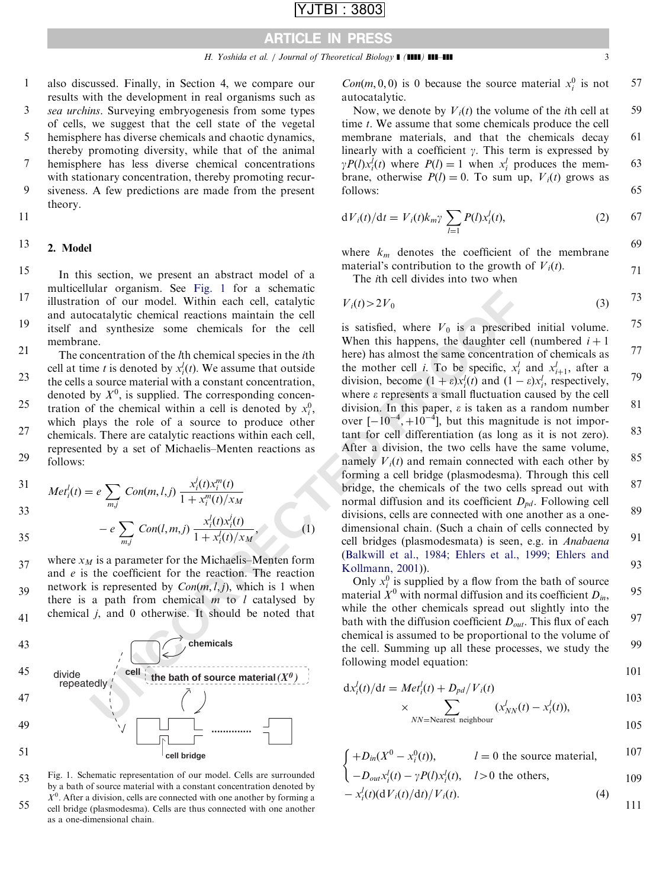|  | I<br>. . |
|--|----------|
|--|----------|

## ARTICLE IN PRESS

also discussed. Finally, in Section 4, we compare our results with the development in real organisms such as sea urchins. Surveying embryogenesis from some types 1 3

of cells, we suggest that the cell state of the vegetal hemisphere has diverse chemicals and chaotic dynamics, 5

- thereby promoting diversity, while that of the animal hemisphere has less diverse chemical concentrations with stationary concentration, thereby promoting recursiveness. A few predictions are made from the present 7 9
- 11

### 2. Model 13

theory.

In this section, we present an abstract model of a multicellular organism. See Fig. 1 for a schematic illustration of our model. Within each cell, catalytic and autocatalytic chemical reactions maintain the cell itself and synthesize some chemicals for the cell membrane. 15 17 19

The concentration of the *l*th chemical species in the *i*th cell at time t is denoted by  $x_i^l(t)$ . We assume that outside the cells a source material with a constant concentration, denoted by  $X^0$ , is supplied. The corresponding concentration of the chemical within a cell is denoted by  $x_i^0$ , which plays the role of a source to produce other chemicals. There are catalytic reactions within each cell, represented by a set of Michaelis–Menten reactions as follows: 21 23 25 27 29

31 
$$
Met_i^l(t) = e \sum_{m,j} Con(m, l, j) \frac{x_i^j(t)x_i^m(t)}{1 + x_i^m(t)/x_M}
$$

33

35

$$
-e\sum_{mj} Con(l,m,j)\frac{x_i^l(t)x_i^j(t)}{1+x_i^l(t)/x_M}
$$
\n(1)

where  $x_M$  is a parameter for the Michaelis–Menten form and e is the coefficient for the reaction. The reaction network is represented by  $Con(m, l, j)$ , which is 1 when there is a path from chemical  $m$  to  $l$  catalysed by chemical j, and 0 otherwise. It should be noted that 37 39 41





 $Con(m, 0, 0)$  is 0 because the source material  $x_i^0$  is not autocatalytic. 57

Now, we denote by  $V_i(t)$  the volume of the *i*th cell at time t. We assume that some chemicals produce the cell membrane materials, and that the chemicals decay linearly with a coefficient  $\gamma$ . This term is expressed by  $\gamma P(l)x_i^l(t)$  where  $P(l) = 1$  when  $x_i^l$  produces the membrane, otherwise  $P(l) = 0$ . To sum up,  $V_i(t)$  grows as follows: 59 61 63 65

$$
dV_i(t)/dt = V_i(t)k_m \gamma \sum_{l=1} P(l)x_i^l(t), \qquad (2) \qquad 67
$$

where  $k_m$  denotes the coefficient of the membrane material's contribution to the growth of  $V_i(t)$ .

The ith cell divides into two when

 $V_i(t) > 2V_0$  (3) 73

Unar organism. See Pag. 1 for a someoned when this happen and of our model. Within each cell, catalytic  $V_1(t) > 2V_0$  when this happens, the dealther cell of source metericial reactions maintain the cell is satisfied, whe is satisfied, where  $V_0$  is a prescribed initial volume. When this happens, the daughter cell (numbered  $i + 1$ ) here) has almost the same concentration of chemicals as the mother cell *i*. To be specific,  $x_i^j$  and  $x_{i+1}^j$ , after a division, become  $(1 + \varepsilon)x_i^j(t)$  and  $(1 - \varepsilon)x_i^j$ , respectively, where  $\varepsilon$  represents a small fluctuation caused by the cell division. In this paper,  $\varepsilon$  is taken as a random number over  $[-10^{-4}, +10^{-4}]$ , but this magnitude is not important for cell differentiation (as long as it is not zero). After a division, the two cells have the same volume, namely  $V_i(t)$  and remain connected with each other by forming a cell bridge (plasmodesma). Through this cell bridge, the chemicals of the two cells spread out with normal diffusion and its coefficient  $D_{pd}$ . Following cell divisions, cells are connected with one another as a onedimensional chain. (Such a chain of cells connected by cell bridges (plasmodesmata) is seen, e.g. in Anabaena ([Balkwill et al., 1984; Ehlers et al., 1999; Ehlers and](#page-12-0) Kollmann, 2001)). 75 77 79 81 83 85 87 89 91 93

Only  $x_i^0$  is supplied by a flow from the bath of source material  $X^0$  with normal diffusion and its coefficient  $D_{in}$ , while the other chemicals spread out slightly into the bath with the diffusion coefficient  $D_{out}$ . This flux of each chemical is assumed to be proportional to the volume of the cell. Summing up all these processes, we study the following model equation: 95 97 99

$$
101\,
$$

$$
dx_i^l(t)/dt = Met_i^l(t) + D_{pd}/V_i(t)
$$
  
 
$$
\times \sum_{NN=\text{Nearest neighbour}} (x_{NN}^l(t) - x_i^l(t)),
$$
 103

 $+D_{in}(X^0 - x_i^0(t)),$   $l = 0$  the source material,  $\epsilon$ 107

$$
\left(-D_{out}x_i^l(t) - \gamma P(l)x_i^l(t), \quad l > 0 \text{ the others},\right)
$$

$$
-\frac{x_i^j(t)(dV_i(t)/dt)}{V_i(t)}.
$$
\n(4)

69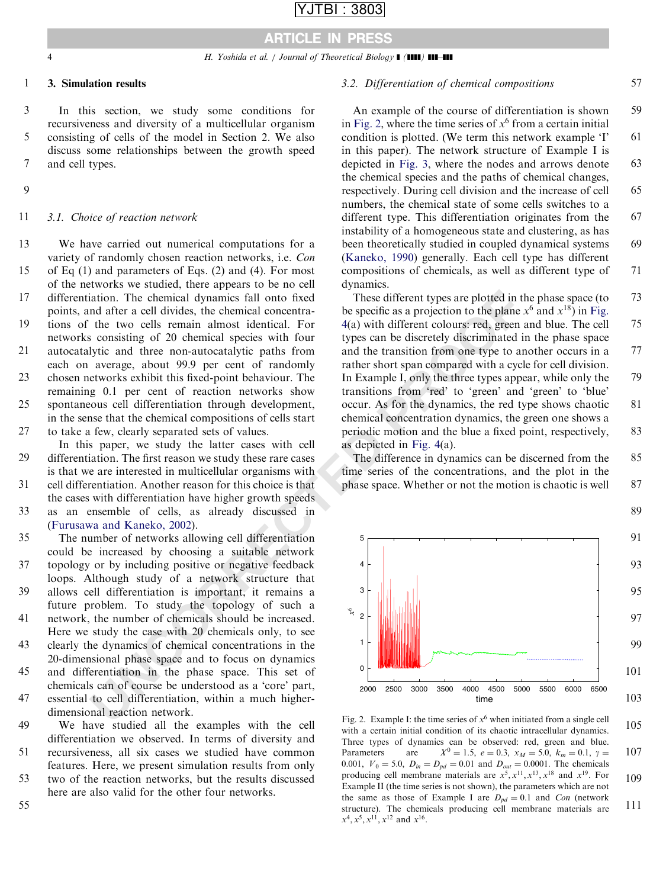# ARTICLE IN PRESS

### 3. Simulation results 1

In this section, we study some conditions for recursiveness and diversity of a multicellular organism consisting of cells of the model in Section 2. We also discuss some relationships between the growth speed and cell types. 3 5 7

9

### 3.1. Choice of reaction network 11

We have carried out numerical computations for a variety of randomly chosen reaction networks, i.e. Con 13

of Eq (1) and parameters of Eqs. (2) and (4). For most of the networks we studied, there appears to be no cell 15

differentiation. The chemical dynamics fall onto fixed points, and after a cell divides, the chemical concentra-17

tions of the two cells remain almost identical. For networks consisting of 20 chemical species with four 19

autocatalytic and three non-autocatalytic paths from each on average, about 99:9 per cent of randomly 21

chosen networks exhibit this fixed-point behaviour. The remaining 0.1 per cent of reaction networks show spontaneous cell differentiation through development, in the sense that the chemical compositions of cells start 23 25

to take a few, clearly separated sets of values. 27

In this paper, we study the latter cases with cell differentiation. The first reason we study these rare cases is that we are interested in multicellular organisms with 29

cell differentiation. Another reason for this choice is that the cases with differentiation have higher growth speeds 31

as an ensemble of cells, as already discussed in ([Furusawa and Kaneko, 2002](#page-12-0)). 33

The number of networks allowing cell differentiation could be increased by choosing a suitable network topology or by including positive or negative feedback 35 37

loops. Although study of a network structure that allows cell differentiation is important, it remains a future problem. To study the topology of such a 39

network, the number of chemicals should be increased. Here we study the case with 20 chemicals only, to see 41

clearly the dynamics of chemical concentrations in the 20-dimensional phase space and to focus on dynamics 43

and differentiation in the phase space. This set of chemicals can of course be understood as a 'core' part, essential to cell differentiation, within a much higher-45 47

dimensional reaction network. We have studied all the examples with the cell 49

differentiation we observed. In terms of diversity and recursiveness, all six cases we studied have common features. Here, we present simulation results from only two of the reaction networks, but the results discussed 51 53

here are also valid for the other four networks.

55

### 3.2. Differentiation of chemical compositions

An example of the course of differentiation is shown in Fig. 2, where the time series of  $x^6$  from a certain initial condition is plotted. (We term this network example 'I' in this paper). The network structure of Example I is depicted in [Fig. 3,](#page-4-0) where the nodes and arrows denote the chemical species and the paths of chemical changes, respectively. During cell division and the increase of cell numbers, the chemical state of some cells switches to a different type. This differentiation originates from the instability of a homogeneous state and clustering, as has been theoretically studied in coupled dynamical systems ([Kaneko, 1990\)](#page-13-0) generally. Each cell type has different compositions of chemicals, as well as different type of dynamics. These different types are plotted in the phase space (to 59 61 63 65 67 69 71 73

57

89

be specific as a projection to the plane  $x^6$  and  $x^{18}$ ) in [Fig.](#page-4-0) 4(a) with different colours: red, green and blue. The cell types can be discretely discriminated in the phase space and the transition from one type to another occurs in a rather short span compared with a cycle for cell division. In Example I, only the three types appear, while only the transitions from 'red' to 'green' and 'green' to 'blue' occur. As for the dynamics, the red type shows chaotic chemical concentration dynamics, the green one shows a periodic motion and the blue a fixed point, respectively, as depicted in Fig. 4(a). 75 77 79 81 83

The difference in dynamics can be discerned from the time series of the concentrations, and the plot in the phase space. Whether or not the motion is chaotic is well 85 87



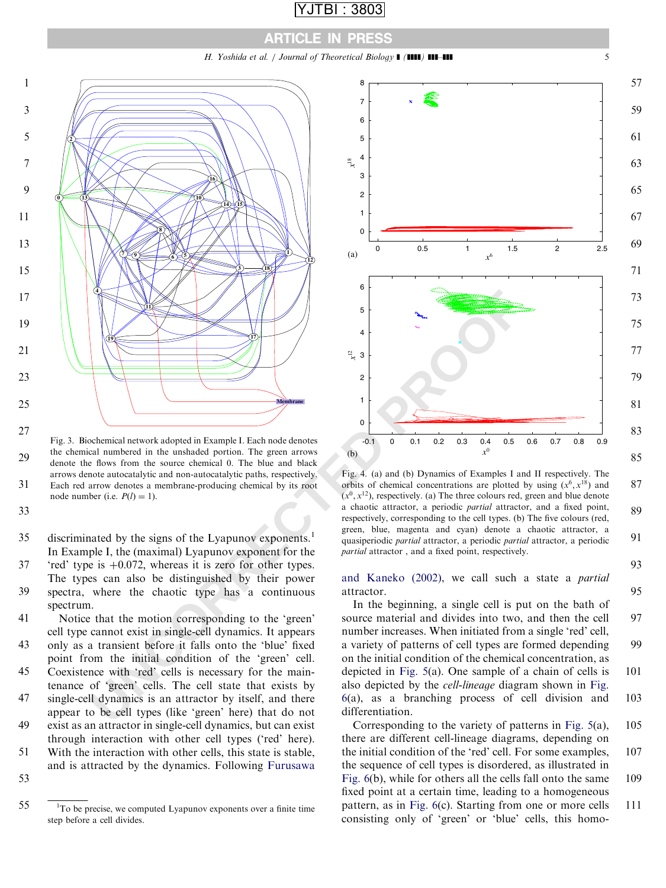## ARTICLE IN PRESS

H. Yoshida et al. / Journal of Theoretical Biology ] (]]]]) ]]]–]]] 5

<span id="page-4-0"></span>

Fig. 3. Biochemical network adopted in Example I. Each node denotes the chemical numbered in the unshaded portion. The green arrows denote the flows from the source chemical 0. The blue and black arrows denote autocatalytic and non-autocatalytic paths, respectively. Each red arrow denotes a membrane-producing chemical by its root node number (i.e.  $P(l) = 1$ ).

 $29$ 

31

33

- discriminated by the signs of the Lyapunov exponents.<sup>1</sup> In Example I, the (maximal) Lyapunov exponent for the 35
- 'red' type is  $+0.072$ , whereas it is zero for other types. The types can also be distinguished by their power spectra, where the chaotic type has a continuous spectrum. 37 39
- Notice that the motion corresponding to the 'green' cell type cannot exist in single-cell dynamics. It appears 41
- only as a transient before it falls onto the 'blue' fixed point from the initial condition of the 'green' cell. 43
- Coexistence with 'red' cells is necessary for the maintenance of 'green' cells. The cell state that exists by 45 47
- single-cell dynamics is an attractor by itself, and there appear to be cell types (like 'green' here) that do not exist as an attractor in single-cell dynamics, but can exist 49
- through interaction with other cell types ('red' here). With the interaction with other cells, this state is stable, 51
- and is attracted by the dynamics. Following [Furusawa](#page-12-0) 53



Fig. 4. (a) and (b) Dynamics of Examples I and II respectively. The orbits of chemical concentrations are plotted by using  $(x^6, x^{18})$  and  $(x^0, x^{12})$ , respectively. (a) The three colours red, green and blue denote a chaotic attractor, a periodic partial attractor, and a fixed point, respectively, corresponding to the cell types. (b) The five colours (red, green, blue, magenta and cyan) denote a chaotic attractor, a quasiperiodic partial attractor, a periodic partial attractor, a periodic partial attractor , and a fixed point, respectively.

and Kaneko (2002), we call such a state a partial attractor.

In the beginning, a single cell is put on the bath of source material and divides into two, and then the cell number increases. When initiated from a single 'red' cell, a variety of patterns of cell types are formed depending on the initial condition of the chemical concentration, as depicted in Fig. 5(a). One sample of a chain of cells is also depicted by the cell-lineage diagram shown in [Fig.](#page-6-0) 6(a), as a branching process of cell division and differentiation. 97 **99** 101 103

Corresponding to the variety of patterns in [Fig. 5](#page-5-0)(a), there are different cell-lineage diagrams, depending on the initial condition of the 'red' cell. For some examples, the sequence of cell types is disordered, as illustrated in [Fig. 6](#page-6-0)(b), while for others all the cells fall onto the same fixed point at a certain time, leading to a homogeneous pattern, as in [Fig. 6](#page-6-0)(c). Starting from one or more cells consisting only of 'green' or 'blue' cells, this homo-105 107 109 111

87 89

91

93

<sup>55</sup> <sup>1</sup>To be precise, we computed Lyapunov exponents over a finite time step before a cell divides.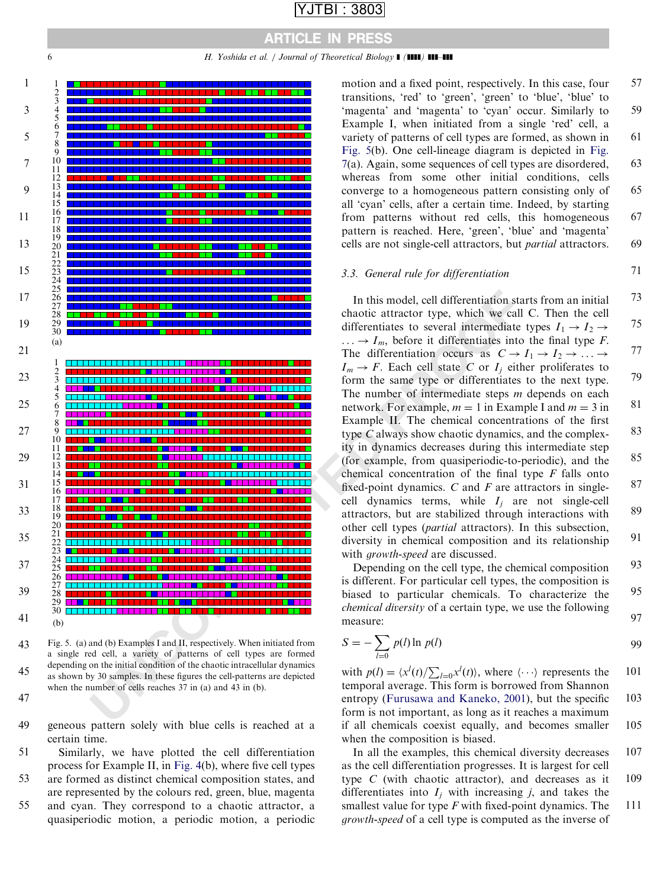<span id="page-5-0"></span>

 Fig. 5. (a) and (b) Examples I and II, respectively. When initiated from a single red cell, a variety of patterns of cell types are formed depending on the initial condition of the chaotic intracellular dynamics as shown by 30 samples. In these figures the cell-patterns are depicted when the number of cells reaches 37 in (a) and 43 in (b).

certain time. 

Similarly, we have plotted the cell differentiation process for Example II, in [Fig. 4](#page-4-0)(b), where five cell types 

are formed as distinct chemical composition states, and are represented by the colours red, green, blue, magenta 

and cyan. They correspond to a chaotic attractor, a quasiperiodic motion, a periodic motion, a periodic 

YJTBI : 3803

motion and a fixed point, respectively. In this case, four transitions, 'red' to 'green', 'green' to 'blue', 'blue' to 'magenta' and 'magenta' to 'cyan' occur. Similarly to Example I, when initiated from a single 'red' cell, a variety of patterns of cell types are formed, as shown in Fig. 5(b). One cell-lineage diagram is depicted in [Fig.](#page-7-0) [7\(](#page-7-0)a). Again, some sequences of cell types are disordered, whereas from some other initial conditions, cells converge to a homogeneous pattern consisting only of all 'cyan' cells, after a certain time. Indeed, by starting from patterns without red cells, this homogeneous pattern is reached. Here, 'green', 'blue' and 'magenta' cells are not single-cell attractors, but partial attractors. 

### 3.3. General rule for differentiation

In this model, cell differentiation starts from an initial chaotic attractor type, which we call C. Then the cell differentiates to several intermediate types  $I_1 \rightarrow I_2 \rightarrow$  $\ldots \rightarrow I_m$ , before it differentiates into the final type F. The differentiation occurs as  $C \to I_1 \to I_2 \to \ldots \to$  $I_m \rightarrow F$ . Each cell state C or  $I_i$  either proliferates to form the same type or differentiates to the next type. The number of intermediate steps  $m$  depends on each network. For example,  $m = 1$  in Example I and  $m = 3$  in Example II. The chemical concentrations of the first type C always show chaotic dynamics, and the complexity in dynamics decreases during this intermediate step (for example, from quasiperiodic-to-periodic), and the chemical concentration of the final type  $F$  falls onto fixed-point dynamics.  $C$  and  $F$  are attractors in singlecell dynamics terms, while  $I_i$  are not single-cell attractors, but are stabilized through interactions with other cell types (partial attractors). In this subsection, diversity in chemical composition and its relationship with growth-speed are discussed. 

Depending on the cell type, the chemical composition is different. For particular cell types, the composition is biased to particular chemicals. To characterize the chemical diversity of a certain type, we use the following measure: 

$$
S = -\sum_{l=0} p(l) \ln p(l)
$$
99

with  $p(l) = \langle x^l(t) / \sum_{l=0} x^l(t) \rangle$ , where  $\langle \cdots \rangle$  represents the temporal average. This form is borrowed from Shannon entropy (Furusawa and Kaneko, 2001), but the specific form is not important, as long as it reaches a maximum if all chemicals coexist equally, and becomes smaller when the composition is biased. 

In all the examples, this chemical diversity decreases as the cell differentiation progresses. It is largest for cell type  $C$  (with chaotic attractor), and decreases as it differentiates into  $I_i$  with increasing *i*, and takes the smallest value for type  $F$  with fixed-point dynamics. The growth-speed of a cell type is computed as the inverse of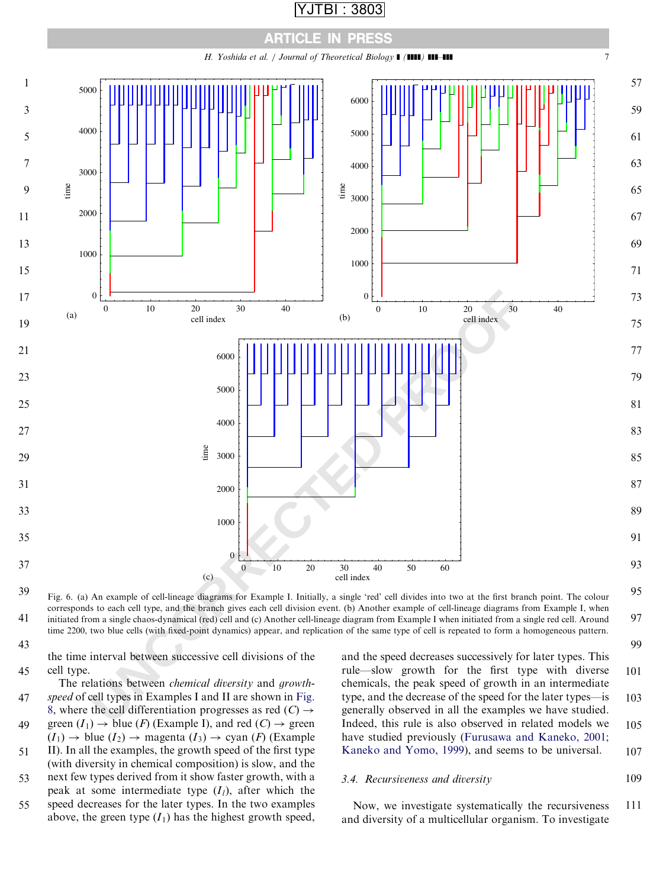<span id="page-6-0"></span>

 Fig. 6. (a) An example of cell-lineage diagrams for Example I. Initially, a single 'red' cell divides into two at the first branch point. The colour corresponds to each cell type, and the branch gives each cell division event. (b) Another example of cell-lineage diagrams from Example I, when initiated from a single chaos-dynamical (red) cell and (c) Another cell-lineage diagram from Example I when initiated from a single red cell. Around time 2200, two blue cells (with fixed-point dynamics) appear, and replication of the same type of cell is repeated to form a homogeneous pattern.

the time interval between successive cell divisions of the cell type.

The relations between chemical diversity and growthspeed of cell types in Examples I and II are shown in Fig. [8,](#page-7-0) where the cell differentiation progresses as red  $(C) \rightarrow$ 

green  $(I_1) \rightarrow$  blue (F) (Example I), and red (C)  $\rightarrow$  green  $(I_1) \rightarrow$  blue  $(I_2) \rightarrow$  magenta  $(I_3) \rightarrow$  cyan  $(F)$  (Example 

II). In all the examples, the growth speed of the first type (with diversity in chemical composition) is slow, and the 

next few types derived from it show faster growth, with a peak at some intermediate type  $(I<sub>l</sub>)$ , after which the 

speed decreases for the later types. In the two examples above, the green type  $(I_1)$  has the highest growth speed, 

and the speed decreases successively for later types. This rule—slow growth for the first type with diverse chemicals, the peak speed of growth in an intermediate type, and the decrease of the speed for the later types—is generally observed in all the examples we have studied. Indeed, this rule is also observed in related models we have studied previously [\(Furusawa and Kaneko, 2001;](#page-12-0) [Kaneko and Yomo, 1999](#page-12-0)), and seems to be universal. 

#### 3.4. Recursiveness and diversity

Now, we investigate systematically the recursiveness and diversity of a multicellular organism. To investigate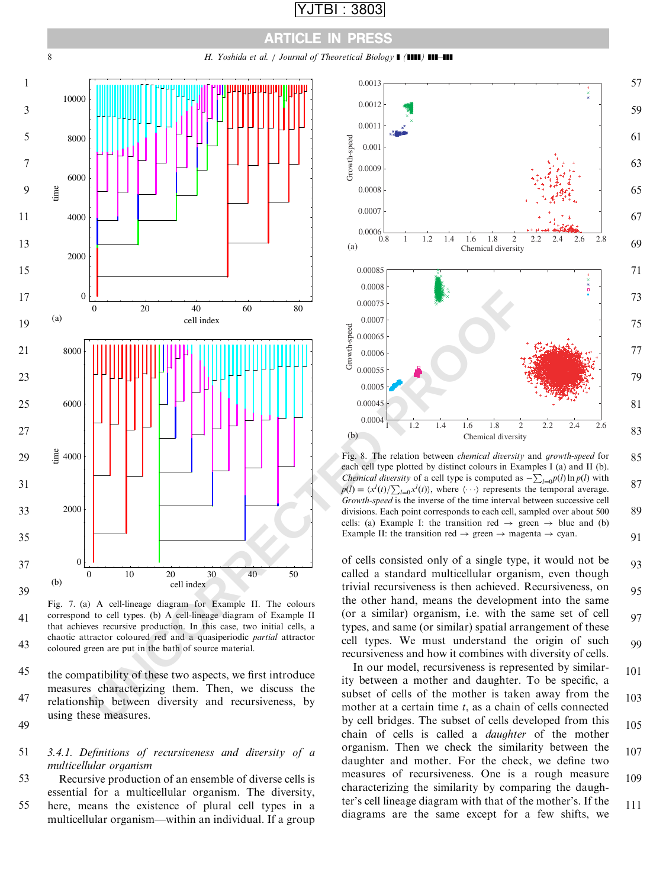





<span id="page-7-0"></span>

41 43 Fig. 7. (a) A cell-lineage diagram for Example II. The colours correspond to cell types. (b) A cell-lineage diagram of Example II that achieves recursive production. In this case, two initial cells, a chaotic attractor coloured red and a quasiperiodic partial attractor coloured green are put in the bath of source material.

- the compatibility of these two aspects, we first introduce measures characterizing them. Then, we discuss the relationship between diversity and recursiveness, by using these measures. 45 47
- 49
- 3.4.1. Definitions of recursiveness and diversity of a multicellular organism 51
- Recursive production of an ensemble of diverse cells is essential for a multicellular organism. The diversity, 53
- here, means the existence of plural cell types in a multicellular organism—within an individual. If a group 55



85 87 89 91 Fig. 8. The relation between chemical diversity and growth-speed for each cell type plotted by distinct colours in Examples I (a) and II (b). Chemical diversity of a cell type is computed as  $-\sum_{l=0}^{n} p(l) \ln p(l)$  with  $p(l) = \langle x^l(t)/\sum_{l=0} x^l(t) \rangle$ , where  $\langle \cdots \rangle$  represents the temporal average. Growth-speed is the inverse of the time interval between successive cell divisions. Each point corresponds to each cell, sampled over about 500 cells: (a) Example I: the transition red  $\rightarrow$  green  $\rightarrow$  blue and (b) Example II: the transition red  $\rightarrow$  green  $\rightarrow$  magenta  $\rightarrow$  cyan.

of cells consisted only of a single type, it would not be called a standard multicellular organism, even though trivial recursiveness is then achieved. Recursiveness, on the other hand, means the development into the same (or a similar) organism, i.e. with the same set of cell types, and same (or similar) spatial arrangement of these cell types. We must understand the origin of such recursiveness and how it combines with diversity of cells. 93 95 97  $QQ$ 

In our model, recursiveness is represented by similarity between a mother and daughter. To be specific, a subset of cells of the mother is taken away from the mother at a certain time  $t$ , as a chain of cells connected by cell bridges. The subset of cells developed from this chain of cells is called a daughter of the mother organism. Then we check the similarity between the daughter and mother. For the check, we define two measures of recursiveness. One is a rough measure characterizing the similarity by comparing the daughter's cell lineage diagram with that of the mother's. If the diagrams are the same except for a few shifts, we 101 103 105 107 109 111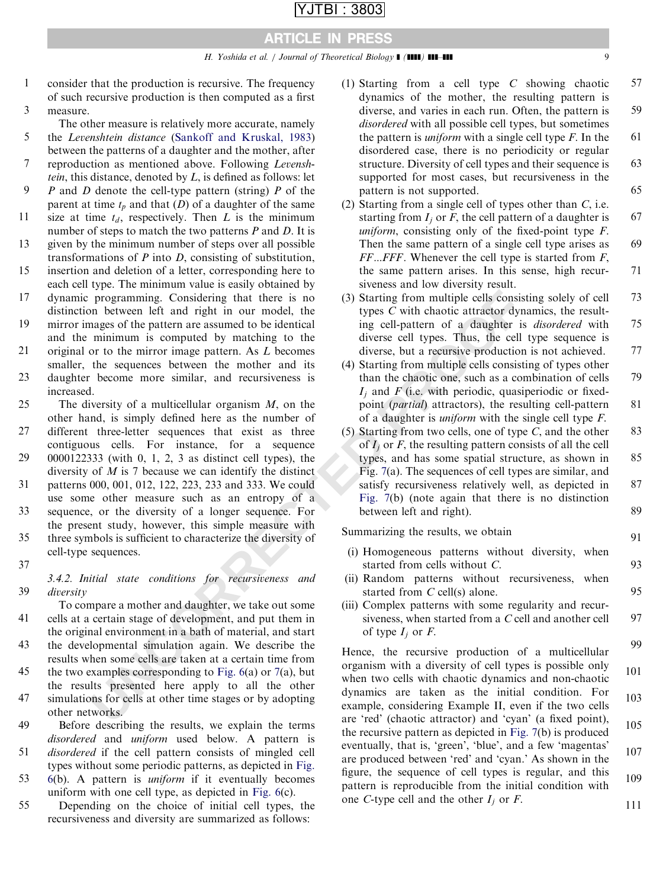## ARTICLE IN PRESS

### H. Yoshida et al. / Journal of Theoretical Biology **[ (1111) 111-111** 9

- consider that the production is recursive. The frequency of such recursive production is then computed as a first measure. 1 3
- The other measure is relatively more accurate, namely
- the Levenshtein distance [\(Sankoff and Kruskal, 1983](#page-13-0)) between the patterns of a daughter and the mother, after reproduction as mentioned above. Following Levensh-5 7
- tein, this distance, denoted by  $L$ , is defined as follows: let P and D denote the cell-type pattern (string)  $P$  of the 9
- parent at time  $t_p$  and that (D) of a daughter of the same size at time  $t_d$ , respectively. Then L is the minimum number of steps to match the two patterns  $P$  and  $D$ . It is 11
- given by the minimum number of steps over all possible transformations of  $P$  into  $D$ , consisting of substitution, 13
- insertion and deletion of a letter, corresponding here to each cell type. The minimum value is easily obtained by 15
- dynamic programming. Considering that there is no distinction between left and right in our model, the 17
- mirror images of the pattern are assumed to be identical and the minimum is computed by matching to the 19
- original or to the mirror image pattern. As L becomes smaller, the sequences between the mother and its daughter become more similar, and recursiveness is 21 23
- increased. The diversity of a multicellular organism  $M$ , on the 25
- other hand, is simply defined here as the number of
- different three-letter sequences that exist as three contiguous cells. For instance, for a sequence 0000122333 (with 0, 1, 2, 3 as distinct cell types), the diversity of  $M$  is 7 because we can identify the distinct 27 29
- patterns 000, 001, 012, 122, 223, 233 and 333. We could use some other measure such as an entropy of a sequence, or the diversity of a longer sequence. For the present study, however, this simple measure with 31 33
- three symbols is sufficient to characterize the diversity of cell-type sequences. 35
- 37

### 3.4.2. Initial state conditions for recursiveness and diversity 39

- To compare a mother and daughter, we take out some cells at a certain stage of development, and put them in the original environment in a bath of material, and start 41
- the developmental simulation again. We describe the results when some cells are taken at a certain time from 43
- the two examples corresponding to Fig.  $6(a)$  or 7(a), but the results presented here apply to all the other 45
- simulations for cells at other time stages or by adopting other networks. 47
- Before describing the results, we explain the terms disordered and uniform used below. A pattern is disordered if the cell pattern consists of mingled cell 49 51
- types without some periodic patterns, as depicted in [Fig.](#page-6-0) [6\(](#page-6-0)b). A pattern is uniform if it eventually becomes 53
- uniform with one cell type, as depicted in [Fig. 6\(](#page-6-0)c).
- Depending on the choice of initial cell types, the recursiveness and diversity are summarized as follows: 55
- (1) Starting from a cell type C showing chaotic dynamics of the mother, the resulting pattern is diverse, and varies in each run. Often, the pattern is disordered with all possible cell types, but sometimes the pattern is *uniform* with a single cell type  $F$ . In the disordered case, there is no periodicity or regular structure. Diversity of cell types and their sequence is supported for most cases, but recursiveness in the pattern is not supported. 57 59 61 63 65
- (2) Starting from a single cell of types other than C, i.e. starting from  $I_i$  or F, the cell pattern of a daughter is uniform, consisting only of the fixed-point type  $F$ . Then the same pattern of a single cell type arises as  $FF...FFF$ . Whenever the cell type is started from  $F$ , the same pattern arises. In this sense, high recursiveness and low diversity result. 67 69 71
- (3) Starting from multiple cells consisting solely of cell types C with chaotic attractor dynamics, the resulting cell-pattern of a daughter is disordered with diverse cell types. Thus, the cell type sequence is diverse, but a recursive production is not achieved. 73 75 77
- (4) Starting from multiple cells consisting of types other than the chaotic one, such as a combination of cells  $I_i$  and F (i.e. with periodic, quasiperiodic or fixedpoint (partial) attractors), the resulting cell-pattern of a daughter is uniform with the single cell type F. 79 81
- **Programming.** Considering that there is no<br>
programming. Considering that there is no<br>
13) Starting from multiple cells consistences of the patter are assumed to be identical<br>
ing cell-pattern of a diagpliter in minimum (5) Starting from two cells, one of type C, and the other of  $I_i$  or  $F$ , the resulting pattern consists of all the cell types, and has some spatial structure, as shown in Fig. 7(a). The sequences of cell types are similar, and satisfy recursiveness relatively well, as depicted in Fig. 7(b) (note again that there is no distinction between left and right). 83 85 87 89

Summarizing the results, we obtain

- (i) Homogeneous patterns without diversity, when started from cells without C.
- (ii) Random patterns without recursiveness, when started from C cell(s) alone.
- (iii) Complex patterns with some regularity and recursiveness, when started from a C cell and another cell of type  $I_i$  or  $F$ . 97

Hence, the recursive production of a multicellular organism with a diversity of cell types is possible only when two cells with chaotic dynamics and non-chaotic dynamics are taken as the initial condition. For example, considering Example II, even if the two cells are 'red' (chaotic attractor) and 'cyan' (a fixed point), the recursive pattern as depicted in [Fig. 7\(](#page-7-0)b) is produced eventually, that is, 'green', 'blue', and a few 'magentas' are produced between 'red' and 'cyan.' As shown in the figure, the sequence of cell types is regular, and this pattern is reproducible from the initial condition with one C-type cell and the other  $I_i$  or  $F$ . 99 101 103 105 107 109 111

91

93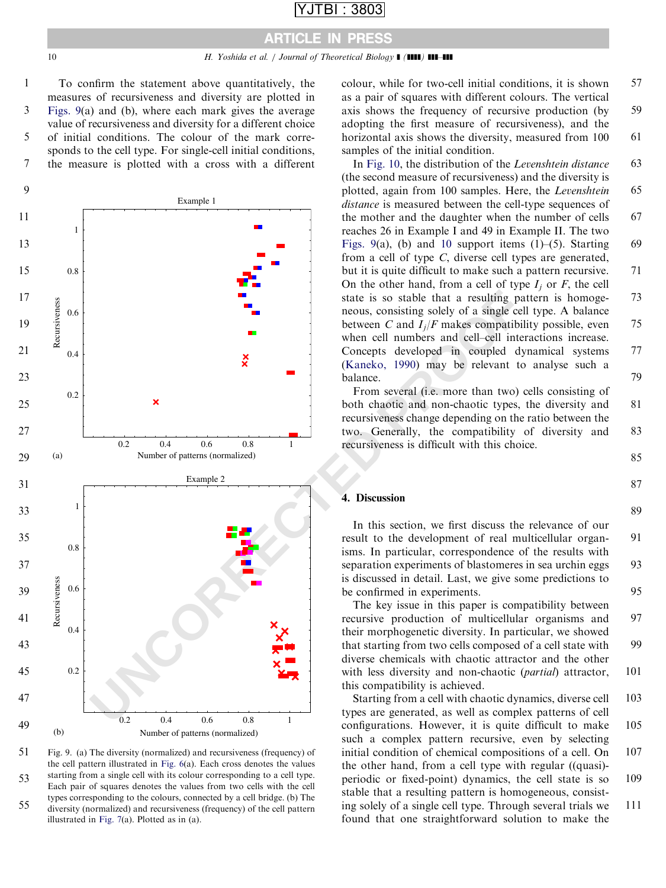# ARTICLE IN PRESS

To confirm the statement above quantitatively, the measures of recursiveness and diversity are plotted in Figs. 9(a) and (b), where each mark gives the average value of recursiveness and diversity for a different choice of initial conditions. The colour of the mark corresponds to the cell type. For single-cell initial conditions, the measure is plotted with a cross with a different 1 3 5 7



51 53 55 Fig. 9. (a) The diversity (normalized) and recursiveness (frequency) of the cell pattern illustrated in [Fig. 6](#page-6-0)(a). Each cross denotes the values starting from a single cell with its colour corresponding to a cell type. Each pair of squares denotes the values from two cells with the cell types corresponding to the colours, connected by a cell bridge. (b) The diversity (normalized) and recursiveness (frequency) of the cell pattern illustrated in [Fig. 7\(](#page-7-0)a). Plotted as in (a).

colour, while for two-cell initial conditions, it is shown as a pair of squares with different colours. The vertical axis shows the frequency of recursive production (by adopting the first measure of recursiveness), and the horizontal axis shows the diversity, measured from 100 samples of the initial condition. 57 59 61

In [Fig. 10](#page-10-0), the distribution of the Levenshtein distance (the second measure of recursiveness) and the diversity is plotted, again from 100 samples. Here, the Levenshtein distance is measured between the cell-type sequences of the mother and the daughter when the number of cells reaches 26 in Example I and 49 in Example II. The two Figs. 9(a), (b) and [10](#page-10-0) support items  $(1)$ –(5). Starting from a cell of type C, diverse cell types are generated, but it is quite difficult to make such a pattern recursive. On the other hand, from a cell of type  $I_i$  or  $F$ , the cell state is so stable that a resulting pattern is homogeneous, consisting solely of a single cell type. A balance between C and  $I_i/F$  makes compatibility possible, even when cell numbers and cell–cell interactions increase. Concepts developed in coupled dynamical systems (Kaneko, 1990) may be relevant to analyse such a balance. 63 65 67 69 71 73 75 77 79

From several (i.e. more than two) cells consisting of both chaotic and non-chaotic types, the diversity and recursiveness change depending on the ratio between the two. Generally, the compatibility of diversity and recursiveness is difficult with this choice.

81

83

85

87

89

### 4. Discussion

In this section, we first discuss the relevance of our result to the development of real multicellular organisms. In particular, correspondence of the results with separation experiments of blastomeres in sea urchin eggs is discussed in detail. Last, we give some predictions to be confirmed in experiments. 91 93 95

The key issue in this paper is compatibility between recursive production of multicellular organisms and their morphogenetic diversity. In particular, we showed that starting from two cells composed of a cell state with diverse chemicals with chaotic attractor and the other with less diversity and non-chaotic (partial) attractor, this compatibility is achieved. 97 99 101

Starting from a cell with chaotic dynamics, diverse cell types are generated, as well as complex patterns of cell configurations. However, it is quite difficult to make such a complex pattern recursive, even by selecting initial condition of chemical compositions of a cell. On the other hand, from a cell type with regular ((quasi) periodic or fixed-point) dynamics, the cell state is so stable that a resulting pattern is homogeneous, consisting solely of a single cell type. Through several trials we found that one straightforward solution to make the 103 105 107 109 111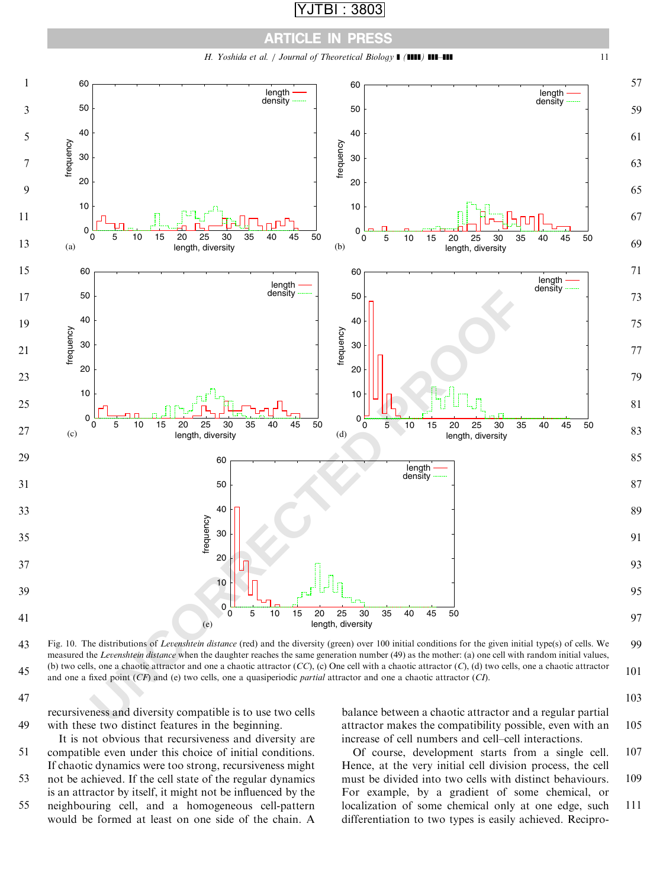

## ARTICLE IN PRESS

H. Yoshida et al. / Journal of Theoretical Biology **1 (1111) 111-111** 11

<span id="page-10-0"></span>

 Fig. 10. The distributions of Levenshtein distance (red) and the diversity (green) over 100 initial conditions for the given initial type(s) of cells. We measured the Levenshtein distance when the daughter reaches the same generation number (49) as the mother: (a) one cell with random initial values, (b) two cells, one a chaotic attractor and one a chaotic attractor (CC), (c) One cell with a chaotic attractor (C), (d) two cells, one a chaotic attractor and one a fixed point  $(CF)$  and (e) two cells, one a quasiperiodic *partial* attractor and one a chaotic attractor  $(CI)$ .

recursiveness and diversity compatible is to use two cells 

It is not obvious that recursiveness and diversity are compatible even under this choice of initial conditions. If chaotic dynamics were too strong, recursiveness might 

not be achieved. If the cell state of the regular dynamics is an attractor by itself, it might not be influenced by the 

neighbouring cell, and a homogeneous cell-pattern would be formed at least on one side of the chain. A 

balance between a chaotic attractor and a regular partial attractor makes the compatibility possible, even with an increase of cell numbers and cell–cell interactions. 

Of course, development starts from a single cell. Hence, at the very initial cell division process, the cell must be divided into two cells with distinct behaviours. For example, by a gradient of some chemical, or localization of some chemical only at one edge, such differentiation to two types is easily achieved. Recipro-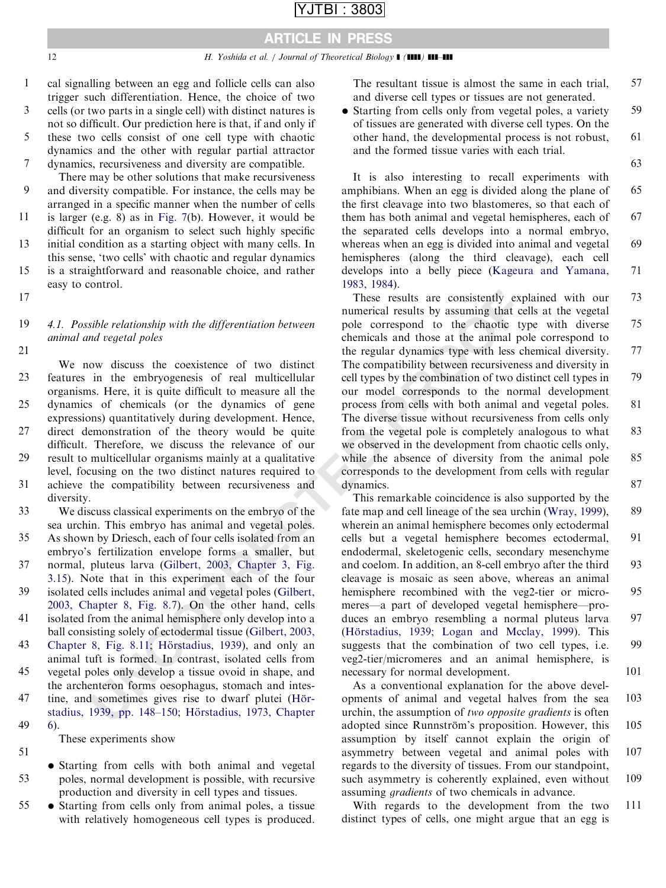# ARTICLE IN PRESS

### 12 **H.** Yoshida et al. / Journal of Theoretical Biology **[ (1111) 111-111**

- cal signalling between an egg and follicle cells can also trigger such differentiation. Hence, the choice of two 1
- cells (or two parts in a single cell) with distinct natures is not so difficult. Our prediction here is that, if and only if 3
- these two cells consist of one cell type with chaotic dynamics and the other with regular partial attractor dynamics, recursiveness and diversity are compatible. 5 7
- There may be other solutions that make recursiveness and diversity compatible. For instance, the cells may be 9
- arranged in a specific manner when the number of cells is larger (e.g. 8) as in [Fig. 7](#page-7-0)(b). However, it would be difficult for an organism to select such highly specific 11
- initial condition as a starting object with many cells. In this sense, 'two cells' with chaotic and regular dynamics 13
- is a straightforward and reasonable choice, and rather easy to control. 15
- 17

### 4.1. Possible relationship with the differentiation between animal and vegetal poles 19

21

We now discuss the coexistence of two distinct features in the embryogenesis of real multicellular organisms. Here, it is quite difficult to measure all the dynamics of chemicals (or the dynamics of gene expressions) quantitatively during development. Hence, direct demonstration of the theory would be quite difficult. Therefore, we discuss the relevance of our result to multicellular organisms mainly at a qualitative level, focusing on the two distinct natures required to 23 25 27 29

- achieve the compatibility between recursiveness and diversity. 31
- We discuss classical experiments on the embryo of the sea urchin. This embryo has animal and vegetal poles. 33
- As shown by Driesch, each of four cells isolated from an embryo's fertilization envelope forms a smaller, but normal, pluteus larva (Gilbert, 2003, Chapter 3, Fig. 35 37
- [3.15](#page-12-0)). Note that in this experiment each of the four isolated cells includes animal and vegetal poles (Gilbert, 39
- [2003, Chapter 8, Fig. 8.7](#page-12-0)). On the other hand, cells isolated from the animal hemisphere only develop into a 41
- ball consisting solely of ectodermal tissue (Gilbert, 2003, [Chapter 8, Fig. 8.11;](#page-12-0) Hörstadius, 1939), and only an animal tuft is formed. In contrast, isolated cells from vegetal poles only develop a tissue ovoid in shape, and 43 45
- the archenteron forms oesophagus, stomach and intestine, and sometimes gives rise to dwarf plutei (Hör[stadius, 1939, pp. 148–150;](#page-12-0) Hörstadius, 1973, Chapter 47
- [6\)](#page-12-0). 49
	- These experiments show
- 51

• Starting from cells with both animal and vegetal

- poles, normal development is possible, with recursive production and diversity in cell types and tissues. 53
- Starting from cells only from animal poles, a tissue with relatively homogeneous cell types is produced. 55

The resultant tissue is almost the same in each trial, and diverse cell types or tissues are not generated. 57

• Starting from cells only from vegetal poles, a variety of tissues are generated with diverse cell types. On the other hand, the developmental process is not robust, and the formed tissue varies with each trial. 61

It is also interesting to recall experiments with amphibians. When an egg is divided along the plane of the first cleavage into two blastomeres, so that each of them has both animal and vegetal hemispheres, each of the separated cells develops into a normal embryo, whereas when an egg is divided into animal and vegetal hemispheres (along the third cleavage), each cell develops into a belly piece [\(Kageura and Yamana,](#page-13-0) [1983, 1984](#page-13-0)). 65 67 69 71

These results are consistently explained reductionship with the differentiation between<br>
pole correspond to the chaotic ty<br>
chaotic pole correspond to the chaotic ty<br>
chaotic ty<br>
consistence of two distinct<br>
the regular dy These results are consistently explained with our numerical results by assuming that cells at the vegetal pole correspond to the chaotic type with diverse chemicals and those at the animal pole correspond to the regular dynamics type with less chemical diversity. The compatibility between recursiveness and diversity in cell types by the combination of two distinct cell types in our model corresponds to the normal development process from cells with both animal and vegetal poles. The diverse tissue without recursiveness from cells only from the vegetal pole is completely analogous to what we observed in the development from chaotic cells only, while the absence of diversity from the animal pole corresponds to the development from cells with regular dynamics. 73 75 77 79 81 83 85 87

This remarkable coincidence is also supported by the fate map and cell lineage of the sea urchin ([Wray, 1999\)](#page-13-0), wherein an animal hemisphere becomes only ectodermal cells but a vegetal hemisphere becomes ectodermal, endodermal, skeletogenic cells, secondary mesenchyme and coelom. In addition, an 8-cell embryo after the third cleavage is mosaic as seen above, whereas an animal hemisphere recombined with the veg2-tier or micromeres—a part of developed vegetal hemisphere—produces an embryo resembling a normal pluteus larva (Hörstadius, 1939; Logan and Mcclay, 1999). This suggests that the combination of two cell types, i.e. veg2-tier/micromeres and an animal hemisphere, is necessary for normal development. 89 91 93 95 97 99 101

As a conventional explanation for the above developments of animal and vegetal halves from the sea urchin, the assumption of two opposite gradients is often adopted since Runnström's proposition. However, this assumption by itself cannot explain the origin of asymmetry between vegetal and animal poles with regards to the diversity of tissues. From our standpoint, such asymmetry is coherently explained, even without assuming gradients of two chemicals in advance. 103 105 107 109

With regards to the development from the two distinct types of cells, one might argue that an egg is 111

59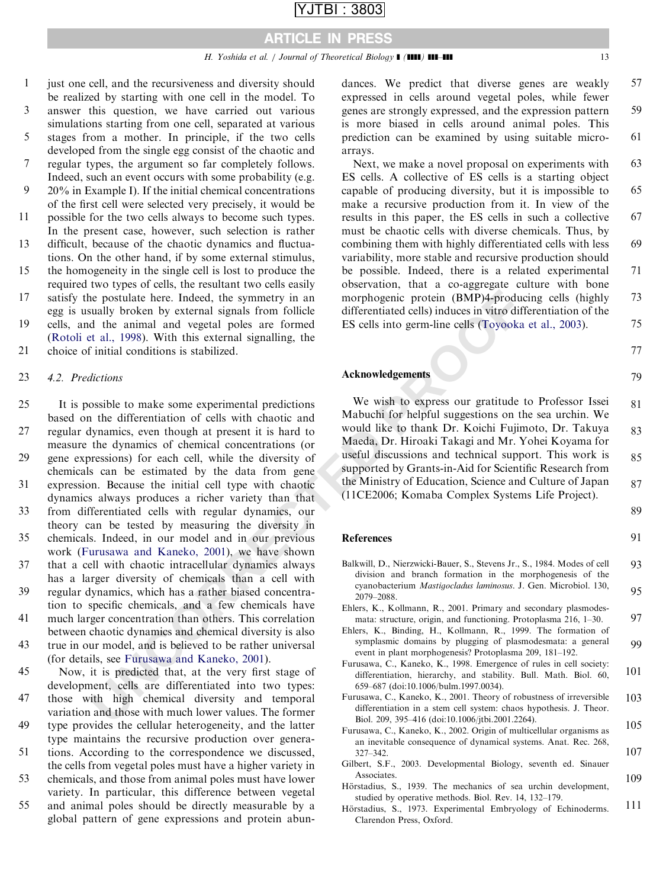# ARTICLE IN PRESS

### H. Yoshida et al. / Journal of Theoretical Biology **[(IIII) III-III** 13

- <span id="page-12-0"></span>just one cell, and the recursiveness and diversity should be realized by starting with one cell in the model. To answer this question, we have carried out various 1 3
- simulations starting from one cell, separated at various stages from a mother. In principle, if the two cells 5
- developed from the single egg consist of the chaotic and regular types, the argument so far completely follows. 7
- Indeed, such an event occurs with some probability (e.g. 20% in Example I). If the initial chemical concentrations of the first cell were selected very precisely, it would be 9
- possible for the two cells always to become such types. In the present case, however, such selection is rather 11
- difficult, because of the chaotic dynamics and fluctuations. On the other hand, if by some external stimulus, 13
- the homogeneity in the single cell is lost to produce the required two types of cells, the resultant two cells easily 15
- satisfy the postulate here. Indeed, the symmetry in an egg is usually broken by external signals from follicle 17
- cells, and the animal and vegetal poles are formed ([Rotoli et al., 1998\)](#page-13-0). With this external signalling, the 19
- choice of initial conditions is stabilized. 21

#### 4.2. Predictions 23

- 1e postulate here. Indeed, the symmetry in an morphogenic protein (BMP)4-produced<br>usually broken by external signalls from follthe differentiated cells) induces in vitro dif<br>d the animal and vegetal poles are formed ES cel It is possible to make some experimental predictions based on the differentiation of cells with chaotic and regular dynamics, even though at present it is hard to measure the dynamics of chemical concentrations (or gene expressions) for each cell, while the diversity of chemicals can be estimated by the data from gene expression. Because the initial cell type with chaotic dynamics always produces a richer variety than that 25 27 29 31
- from differentiated cells with regular dynamics, our theory can be tested by measuring the diversity in chemicals. Indeed, in our model and in our previous 33 35
- work (Furusawa and Kaneko, 2001), we have shown that a cell with chaotic intracellular dynamics always has a larger diversity of chemicals than a cell with 37
- regular dynamics, which has a rather biased concentration to specific chemicals, and a few chemicals have 39
- much larger concentration than others. This correlation between chaotic dynamics and chemical diversity is also 41 43
- true in our model, and is believed to be rather universal (for details, see Furusawa and Kaneko, 2001).
- Now, it is predicted that, at the very first stage of development, cells are differentiated into two types: those with high chemical diversity and temporal 45 47
- variation and those with much lower values. The former type provides the cellular heterogeneity, and the latter 49
- type maintains the recursive production over generations. According to the correspondence we discussed, 51
- the cells from vegetal poles must have a higher variety in chemicals, and those from animal poles must have lower 53
- variety. In particular, this difference between vegetal and animal poles should be directly measurable by a 55
- global pattern of gene expressions and protein abun-

dances. We predict that diverse genes are weakly expressed in cells around vegetal poles, while fewer genes are strongly expressed, and the expression pattern is more biased in cells around animal poles. This prediction can be examined by using suitable microarrays. 57 59 61

Next, we make a novel proposal on experiments with ES cells. A collective of ES cells is a starting object capable of producing diversity, but it is impossible to make a recursive production from it. In view of the results in this paper, the ES cells in such a collective must be chaotic cells with diverse chemicals. Thus, by combining them with highly differentiated cells with less variability, more stable and recursive production should be possible. Indeed, there is a related experimental observation, that a co-aggregate culture with bone morphogenic protein (BMP)4-producing cells (highly differentiated cells) induces in vitro differentiation of the ES cells into germ-line cells ([Toyooka et al., 2003](#page-13-0)). 63 65 67 71 73 75

77

### Acknowledgements

We wish to express our gratitude to Professor Issei Mabuchi for helpful suggestions on the sea urchin. We would like to thank Dr. Koichi Fujimoto, Dr. Takuya Maeda, Dr. Hiroaki Takagi and Mr. Yohei Koyama for useful discussions and technical support. This work is supported by Grants-in-Aid for Scientific Research from the Ministry of Education, Science and Culture of Japan (11CE2006; Komaba Complex Systems Life Project). 81 83 85 87

## References

- Balkwill, D., Nierzwicki-Bauer, S., Stevens Jr., S., 1984. Modes of cell division and branch formation in the morphogenesis of the cyanobacterium Mastigocladus laminosus. J. Gen. Microbiol. 130, 2079–2088. Ehlers, K., Kollmann, R., 2001. Primary and secondary plasmodesmata: structure, origin, and functioning. Protoplasma 216, 1–30. Ehlers, K., Binding, H., Kollmann, R., 1999. The formation of symplasmic domains by plugging of plasmodesmata: a general event in plant morphogenesis? Protoplasma 209, 181–192. Furusawa, C., Kaneko, K., 1998. Emergence of rules in cell society: 93 95 97 99 101
- differentiation, hierarchy, and stability. Bull. Math. Biol. 60, 659–687 (doi:10.1006/bulm.1997.0034). Furusawa, C., Kaneko, K., 2001. Theory of robustness of irreversible 103
- differentiation in a stem cell system: chaos hypothesis. J. Theor. Biol. 209, 395–416 (doi:10.1006/jtbi.2001.2264). 105
- Furusawa, C., Kaneko, K., 2002. Origin of multicellular organisms as an inevitable consequence of dynamical systems. Anat. Rec. 268, 327–342. 107
- Gilbert, S.F., 2003. Developmental Biology, seventh ed. Sinauer Associates. 109
- Hörstadius, S., 1939. The mechanics of sea urchin development, studied by operative methods. Biol. Rev. 14, 132–179.
- Hörstadius, S., 1973. Experimental Embryology of Echinoderms. Clarendon Press, Oxford. 111

79

89

91